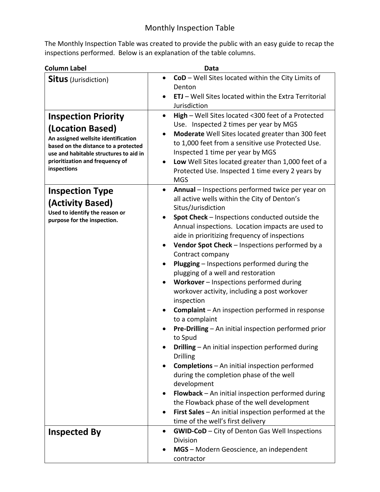The Monthly Inspection Table was created to provide the public with an easy guide to recap the inspections performed. Below is an explanation of the table columns.

| <b>Column Label</b>                                                                                                                                                                                                       | Data                                                                                                                                                                                                                                                                                                                                                                                                                                                                                                                                                                                                                                                                                                                                                                                                                                                                                                                                                                                                                                                                                                                                 |
|---------------------------------------------------------------------------------------------------------------------------------------------------------------------------------------------------------------------------|--------------------------------------------------------------------------------------------------------------------------------------------------------------------------------------------------------------------------------------------------------------------------------------------------------------------------------------------------------------------------------------------------------------------------------------------------------------------------------------------------------------------------------------------------------------------------------------------------------------------------------------------------------------------------------------------------------------------------------------------------------------------------------------------------------------------------------------------------------------------------------------------------------------------------------------------------------------------------------------------------------------------------------------------------------------------------------------------------------------------------------------|
| <b>Situs</b> (Jurisdiction)                                                                                                                                                                                               | CoD - Well Sites located within the City Limits of<br>$\bullet$<br>Denton<br><b>ETJ</b> – Well Sites located within the Extra Territorial<br>Jurisdiction                                                                                                                                                                                                                                                                                                                                                                                                                                                                                                                                                                                                                                                                                                                                                                                                                                                                                                                                                                            |
| <b>Inspection Priority</b><br>(Location Based)<br>An assigned wellsite identification<br>based on the distance to a protected<br>use and habitable structures to aid in<br>prioritization and frequency of<br>inspections | High - Well Sites located <300 feet of a Protected<br>$\bullet$<br>Use. Inspected 2 times per year by MGS<br>Moderate Well Sites located greater than 300 feet<br>to 1,000 feet from a sensitive use Protected Use.<br>Inspected 1 time per year by MGS<br>Low Well Sites located greater than 1,000 feet of a<br>Protected Use. Inspected 1 time every 2 years by<br><b>MGS</b>                                                                                                                                                                                                                                                                                                                                                                                                                                                                                                                                                                                                                                                                                                                                                     |
| <b>Inspection Type</b><br>(Activity Based)<br>Used to identify the reason or<br>purpose for the inspection.                                                                                                               | Annual - Inspections performed twice per year on<br>$\bullet$<br>all active wells within the City of Denton's<br>Situs/Jurisdiction<br>Spot Check - Inspections conducted outside the<br>Annual inspections. Location impacts are used to<br>aide in prioritizing frequency of inspections<br>Vendor Spot Check - Inspections performed by a<br>$\bullet$<br>Contract company<br><b>Plugging</b> – Inspections performed during the<br>plugging of a well and restoration<br>Workover - Inspections performed during<br>workover activity, including a post workover<br>inspection<br><b>Complaint</b> – An inspection performed in response<br>to a complaint<br>Pre-Drilling - An initial inspection performed prior<br>to Spud<br>Drilling - An initial inspection performed during<br><b>Drilling</b><br><b>Completions</b> - An initial inspection performed<br>during the completion phase of the well<br>development<br><b>Flowback</b> $-$ An initial inspection performed during<br>the Flowback phase of the well development<br>First Sales - An initial inspection performed at the<br>time of the well's first delivery |
| <b>Inspected By</b>                                                                                                                                                                                                       | <b>GWID-CoD</b> - City of Denton Gas Well Inspections<br>$\bullet$<br>Division<br>MGS - Modern Geoscience, an independent<br>contractor                                                                                                                                                                                                                                                                                                                                                                                                                                                                                                                                                                                                                                                                                                                                                                                                                                                                                                                                                                                              |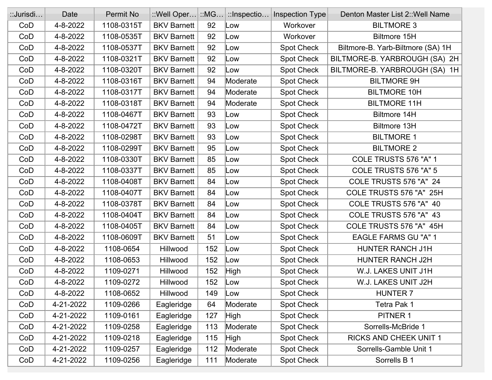| ::Jurisdi | Date      | Permit No  | $\therefore$ Well Oper $ \therefore$ MG |     | $\mid$ :: Inspectio | Inspection Type   | Denton Master List 2:: Well Name  |
|-----------|-----------|------------|-----------------------------------------|-----|---------------------|-------------------|-----------------------------------|
| CoD       | 4-8-2022  | 1108-0315T | <b>BKV Barnett</b>                      | 92  | Low                 | Workover          | <b>BILTMORE 3</b>                 |
| CoD       | 4-8-2022  | 1108-0535T | <b>BKV Barnett</b>                      | 92  | Low                 | Workover          | <b>Biltmore 15H</b>               |
| CoD       | 4-8-2022  | 1108-0537T | <b>BKV Barnett</b>                      | 92  | Low                 | Spot Check        | Biltmore-B. Yarb-Biltmore (SA) 1H |
| CoD       | 4-8-2022  | 1108-0321T | <b>BKV Barnett</b>                      | 92  | Low                 | Spot Check        | BILTMORE-B. YARBROUGH (SA) 2H     |
| CoD       | 4-8-2022  | 1108-0320T | <b>BKV Barnett</b>                      | 92  | Low                 | Spot Check        | BILTMORE-B. YARBROUGH (SA) 1H     |
| CoD       | 4-8-2022  | 1108-0316T | <b>BKV Barnett</b>                      | 94  | Moderate            | Spot Check        | <b>BILTMORE 9H</b>                |
| CoD       | 4-8-2022  | 1108-0317T | <b>BKV Barnett</b>                      | 94  | Moderate            | Spot Check        | <b>BILTMORE 10H</b>               |
| CoD       | 4-8-2022  | 1108-0318T | <b>BKV Barnett</b>                      | 94  | Moderate            | Spot Check        | <b>BILTMORE 11H</b>               |
| CoD       | 4-8-2022  | 1108-0467T | <b>BKV Barnett</b>                      | 93  | Low                 | Spot Check        | Biltmore 14H                      |
| CoD       | 4-8-2022  | 1108-0472T | <b>BKV Barnett</b>                      | 93  | Low                 | Spot Check        | <b>Biltmore 13H</b>               |
| CoD       | 4-8-2022  | 1108-0298T | <b>BKV Barnett</b>                      | 93  | Low                 | <b>Spot Check</b> | <b>BILTMORE 1</b>                 |
| CoD       | 4-8-2022  | 1108-0299T | <b>BKV Barnett</b>                      | 95  | Low                 | Spot Check        | <b>BILTMORE 2</b>                 |
| CoD       | 4-8-2022  | 1108-0330T | <b>BKV Barnett</b>                      | 85  | Low                 | Spot Check        | COLE TRUSTS 576 "A" 1             |
| CoD       | 4-8-2022  | 1108-0337T | <b>BKV Barnett</b>                      | 85  | Low                 | Spot Check        | COLE TRUSTS 576 "A" 5             |
| CoD       | 4-8-2022  | 1108-0408T | <b>BKV Barnett</b>                      | 84  | Low                 | Spot Check        | COLE TRUSTS 576 "A" 24            |
| CoD       | 4-8-2022  | 1108-0407T | <b>BKV Barnett</b>                      | 84  | Low                 | Spot Check        | COLE TRUSTS 576 "A" 25H           |
| CoD       | 4-8-2022  | 1108-0378T | <b>BKV Barnett</b>                      | 84  | Low                 | Spot Check        | COLE TRUSTS 576 "A" 40            |
| CoD       | 4-8-2022  | 1108-0404T | <b>BKV Barnett</b>                      | 84  | Low                 | Spot Check        | COLE TRUSTS 576 "A" 43            |
| CoD       | 4-8-2022  | 1108-0405T | <b>BKV Barnett</b>                      | 84  | Low                 | <b>Spot Check</b> | COLE TRUSTS 576 "A" 45H           |
| CoD       | 4-8-2022  | 1108-0609T | <b>BKV Barnett</b>                      | 51  | Low                 | Spot Check        | <b>EAGLE FARMS GU "A" 1</b>       |
| CoD       | 4-8-2022  | 1108-0654  | Hillwood                                | 152 | Low                 | Spot Check        | HUNTER RANCH J1H                  |
| CoD       | 4-8-2022  | 1108-0653  | Hillwood                                | 152 | Low                 | Spot Check        | HUNTER RANCH J2H                  |
| CoD       | 4-8-2022  | 1109-0271  | Hillwood                                | 152 | <b>High</b>         | Spot Check        | W.J. LAKES UNIT J1H               |
| CoD       | 4-8-2022  | 1109-0272  | Hillwood                                | 152 | Low                 | <b>Spot Check</b> | W.J. LAKES UNIT J2H               |
| CoD       | 4-8-2022  | 1108-0652  | Hillwood                                | 149 | Low                 | <b>Spot Check</b> | <b>HUNTER 7</b>                   |
| CoD       | 4-21-2022 | 1109-0266  | Eagleridge                              | 64  | Moderate            | Spot Check        | Tetra Pak 1                       |
| CoD       | 4-21-2022 | 1109-0161  | Eagleridge                              | 127 | <b>High</b>         | Spot Check        | PITNER 1                          |
| CoD       | 4-21-2022 | 1109-0258  | Eagleridge                              | 113 | Moderate            | Spot Check        | Sorrells-McBride 1                |
| CoD       | 4-21-2022 | 1109-0218  | Eagleridge                              | 115 | High                | Spot Check        | <b>RICKS AND CHEEK UNIT 1</b>     |
| CoD       | 4-21-2022 | 1109-0257  | Eagleridge                              | 112 | Moderate            | Spot Check        | Sorrells-Gamble Unit 1            |
| CoD       | 4-21-2022 | 1109-0256  | Eagleridge                              | 111 | Moderate            | Spot Check        | Sorrells B 1                      |